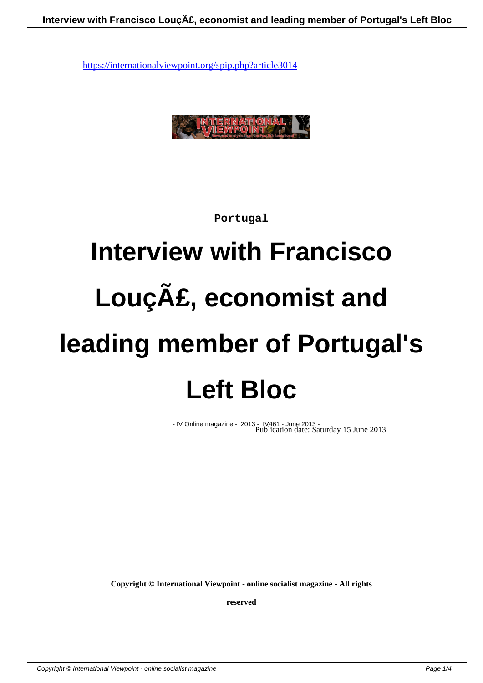

**Portugal**

# **Interview with Francisco** Louçã, economist and **leading member of Portugal's Left Bloc**

- IV Online magazine - 2013 - IV461 - June 2013 - Publication date: Saturday 15 June 2013

**Copyright © International Viewpoint - online socialist magazine - All rights**

**reserved**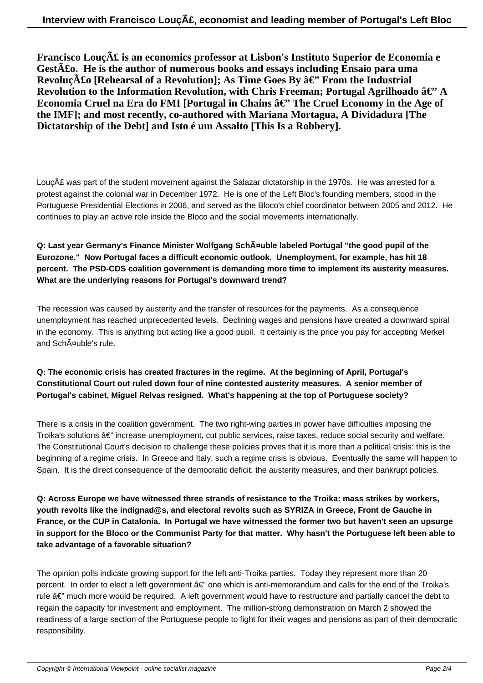**Francisco Louçã is an economics professor at Lisbon's Instituto Superior de Economia e** Gest $\tilde{A}$ **£0.** He is the author of numerous books and essays including Ensaio para uma **RevoluçÃ** $\pmb{\hat{\textbf{a}}}$  **[Rehearsal of a Revolution]; As Time Goes By**  $\hat{\textbf{a}} \in \pmb{\mathcal{C}}'$  **From the Industrial Revolution to the Information Revolution, with Chris Freeman; Portugal Agrilhoado**  $\hat{a}\epsilon$ **" A** Economia Cruel na Era do FMI [Portugal in Chains  $\hat{a} \in \mathcal{C}$  The Cruel Economy in the Age of **the IMF]; and most recently, co-authored with Mariana Mortagua, A Dividadura [The Dictatorship of the Debt] and Isto é um Assalto [This Is a Robbery].**

Louçã was part of the student movement against the Salazar dictatorship in the 1970s. He was arrested for a protest against the colonial war in December 1972. He is one of the Left Bloc's founding members, stood in the Portuguese Presidential Elections in 2006, and served as the Bloco's chief coordinator between 2005 and 2012. He continues to play an active role inside the Bloco and the social movements internationally.

### **Q: Last year Germany's Finance Minister Wolfgang Schäuble labeled Portugal "the good pupil of the Eurozone." Now Portugal faces a difficult economic outlook. Unemployment, for example, has hit 18 percent. The PSD-CDS coalition government is demanding more time to implement its austerity measures. What are the underlying reasons for Portugal's downward trend?**

The recession was caused by austerity and the transfer of resources for the payments. As a consequence unemployment has reached unprecedented levels. Declining wages and pensions have created a downward spiral in the economy. This is anything but acting like a good pupil. It certainly is the price you pay for accepting Merkel and SchA¤uble's rule.

## **Q: The economic crisis has created fractures in the regime. At the beginning of April, Portugal's Constitutional Court out ruled down four of nine contested austerity measures. A senior member of Portugal's cabinet, Miguel Relvas resigned. What's happening at the top of Portuguese society?**

There is a crisis in the coalition government. The two right-wing parties in power have difficulties imposing the Troika's solutions  $\hat{a}\in$ " increase unemployment, cut public services, raise taxes, reduce social security and welfare. The Constitutional Court's decision to challenge these policies proves that it is more than a political crisis: this is the beginning of a regime crisis. In Greece and Italy, such a regime crisis is obvious. Eventually the same will happen to Spain. It is the direct consequence of the democratic deficit, the austerity measures, and their bankrupt policies.

**Q: Across Europe we have witnessed three strands of resistance to the Troika: mass strikes by workers, youth revolts like the indignad@s, and electoral revolts such as SYRIZA in Greece, Front de Gauche in France, or the CUP in Catalonia. In Portugal we have witnessed the former two but haven't seen an upsurge in support for the Bloco or the Communist Party for that matter. Why hasn't the Portuguese left been able to take advantage of a favorable situation?**

The opinion polls indicate growing support for the left anti-Troika parties. Today they represent more than 20 percent. In order to elect a left government â€" one which is anti-memorandum and calls for the end of the Troika's rule  $\hat{a}\in\mathbb{C}$  much more would be required. A left government would have to restructure and partially cancel the debt to regain the capacity for investment and employment. The million-strong demonstration on March 2 showed the readiness of a large section of the Portuguese people to fight for their wages and pensions as part of their democratic responsibility.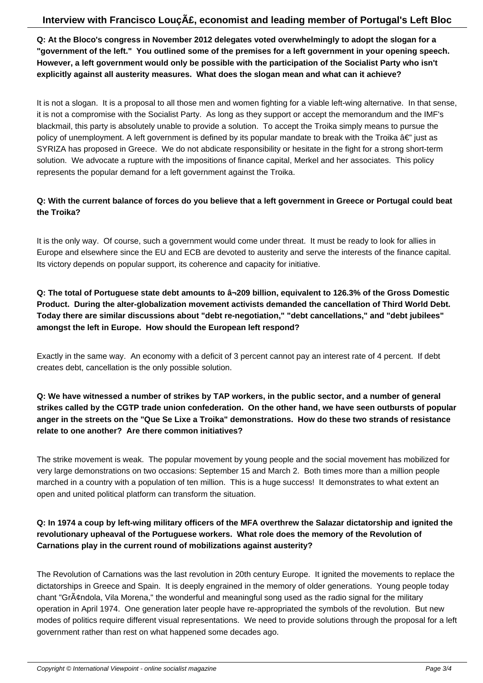**Q: At the Bloco's congress in November 2012 delegates voted overwhelmingly to adopt the slogan for a "government of the left." You outlined some of the premises for a left government in your opening speech. However, a left government would only be possible with the participation of the Socialist Party who isn't explicitly against all austerity measures. What does the slogan mean and what can it achieve?**

It is not a slogan. It is a proposal to all those men and women fighting for a viable left-wing alternative. In that sense, it is not a compromise with the Socialist Party. As long as they support or accept the memorandum and the IMF's blackmail, this party is absolutely unable to provide a solution. To accept the Troika simply means to pursue the policy of unemployment. A left government is defined by its popular mandate to break with the Troika  $\hat{a} \in \tilde{a}$  just as SYRIZA has proposed in Greece. We do not abdicate responsibility or hesitate in the fight for a strong short-term solution. We advocate a rupture with the impositions of finance capital, Merkel and her associates. This policy represents the popular demand for a left government against the Troika.

### **Q: With the current balance of forces do you believe that a left government in Greece or Portugal could beat the Troika?**

It is the only way. Of course, such a government would come under threat. It must be ready to look for allies in Europe and elsewhere since the EU and ECB are devoted to austerity and serve the interests of the finance capital. Its victory depends on popular support, its coherence and capacity for initiative.

**Q: The total of Portuguese state debt amounts to â¬209 billion, equivalent to 126.3% of the Gross Domestic Product. During the alter-globalization movement activists demanded the cancellation of Third World Debt. Today there are similar discussions about "debt re-negotiation," "debt cancellations," and "debt jubilees" amongst the left in Europe. How should the European left respond?**

Exactly in the same way. An economy with a deficit of 3 percent cannot pay an interest rate of 4 percent. If debt creates debt, cancellation is the only possible solution.

### **Q: We have witnessed a number of strikes by TAP workers, in the public sector, and a number of general strikes called by the CGTP trade union confederation. On the other hand, we have seen outbursts of popular anger in the streets on the "Que Se Lixe a Troika" demonstrations. How do these two strands of resistance relate to one another? Are there common initiatives?**

The strike movement is weak. The popular movement by young people and the social movement has mobilized for very large demonstrations on two occasions: September 15 and March 2. Both times more than a million people marched in a country with a population of ten million. This is a huge success! It demonstrates to what extent an open and united political platform can transform the situation.

## **Q: In 1974 a coup by left-wing military officers of the MFA overthrew the Salazar dictatorship and ignited the revolutionary upheaval of the Portuguese workers. What role does the memory of the Revolution of Carnations play in the current round of mobilizations against austerity?**

The Revolution of Carnations was the last revolution in 20th century Europe. It ignited the movements to replace the dictatorships in Greece and Spain. It is deeply engrained in the memory of older generations. Young people today chant "Gr¢ndola, Vila Morena," the wonderful and meaningful song used as the radio signal for the military operation in April 1974. One generation later people have re-appropriated the symbols of the revolution. But new modes of politics require different visual representations. We need to provide solutions through the proposal for a left government rather than rest on what happened some decades ago.